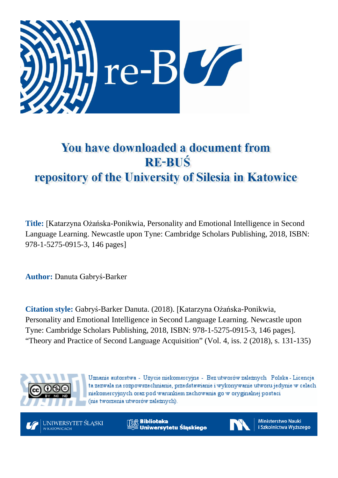

## You have downloaded a document from **RE-BUŚ** repository of the University of Silesia in Katowice

**Title:** [Katarzyna Ożańska-Ponikwia, Personality and Emotional Intelligence in Second Language Learning. Newcastle upon Tyne: Cambridge Scholars Publishing, 2018, ISBN: 978-1-5275-0915-3, 146 pages]

**Author:** Danuta Gabryś-Barker

**Citation style:** Gabryś-Barker Danuta. (2018). [Katarzyna Ożańska-Ponikwia, Personality and Emotional Intelligence in Second Language Learning. Newcastle upon Tyne: Cambridge Scholars Publishing, 2018, ISBN: 978-1-5275-0915-3, 146 pages]. "Theory and Practice of Second Language Acquisition" (Vol. 4, iss. 2 (2018), s. 131-135)



Uznanie autorstwa - Użycie niekomercyjne - Bez utworów zależnych Polska - Licencja ta zezwala na rozpowszechnianie, przedstawianie i wykonywanie utworu jedynie w celach niekomercyjnych oraz pod warunkiem zachowania go w oryginalnej postaci (nie tworzenia utworów zależnych).



**Biblioteka** Uniwersytetu Śląskiego



**Ministerstwo Nauki** i Szkolnictwa Wyższego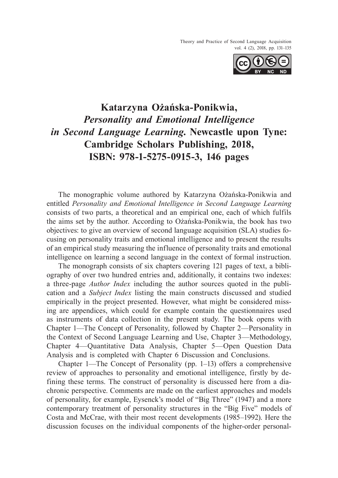Theory and Practice of Second Language Acquisition vol. 4 (2), 2018, pp. 131–135



## **Katarzyna Ożańska-Ponikwia,** *Personality and Emotional Intelligence in Second Language Learning***. Newcastle upon Tyne: Cambridge Scholars Publishing, 2018, ISBN: 978-1-5275-0915-3, 146 pages**

The monographic volume authored by Katarzyna Ożańska-Ponikwia and entitled *Personality and Emotional Intelligence in Second Language Learning*  consists of two parts, a theoretical and an empirical one, each of which fulfils the aims set by the author. According to Ożańska-Ponikwia, the book has two objectives: to give an overview of second language acquisition (SLA) studies focusing on personality traits and emotional intelligence and to present the results of an empirical study measuring the influence of personality traits and emotional intelligence on learning a second language in the context of formal instruction.

The monograph consists of six chapters covering 121 pages of text, a bibliography of over two hundred entries and, additionally, it contains two indexes: a three-page *Author Index* including the author sources quoted in the publication and a *Subject Index* listing the main constructs discussed and studied empirically in the project presented. However, what might be considered missing are appendices, which could for example contain the questionnaires used as instruments of data collection in the present study. The book opens with Chapter 1—The Concept of Personality, followed by Chapter 2—Personality in the Context of Second Language Learning and Use, Chapter 3—Methodology, Chapter 4—Quantitative Data Analysis, Chapter 5—Open Question Data Analysis and is completed with Chapter 6 Discussion and Conclusions.

Chapter 1—The Concept of Personality (pp. 1–13) offers a comprehensive review of approaches to personality and emotional intelligence, firstly by defining these terms. The construct of personality is discussed here from a diachronic perspective. Comments are made on the earliest approaches and models of personality, for example, Eysenck's model of "Big Three" (1947) and a more contemporary treatment of personality structures in the "Big Five" models of Costa and McCrae, with their most recent developments (1985–1992). Here the discussion focuses on the individual components of the higher-order personal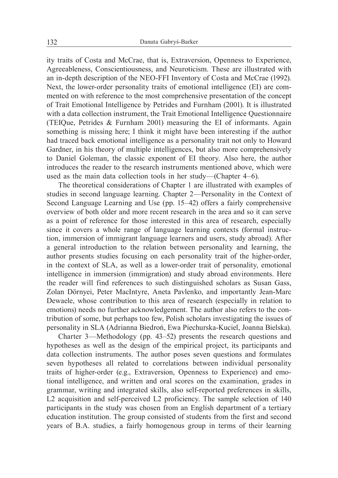ity traits of Costa and McCrae, that is, Extraversion, Openness to Experience, Agreeableness, Conscientiousness, and Neuroticism. These are illustrated with an in-depth description of the NEO-FFI Inventory of Costa and McCrae (1992). Next, the lower-order personality traits of emotional intelligence (EI) are commented on with reference to the most comprehensive presentation of the concept of Trait Emotional Intelligence by Petrides and Furnham (2001). It is illustrated with a data collection instrument, the Trait Emotional Intelligence Questionnaire (TEIQue, Petrides & Furnham 2001) measuring the EI of informants. Again something is missing here; I think it might have been interesting if the author had traced back emotional intelligence as a personality trait not only to Howard Gardner, in his theory of multiple intelligences, but also more comprehensively to Daniel Goleman, the classic exponent of EI theory. Also here, the author introduces the reader to the research instruments mentioned above, which were used as the main data collection tools in her study—(Chapter 4–6).

The theoretical considerations of Chapter 1 are illustrated with examples of studies in second language learning. Chapter 2—Personality in the Context of Second Language Learning and Use (pp. 15–42) offers a fairly comprehensive overview of both older and more recent research in the area and so it can serve as a point of reference for those interested in this area of research, especially since it covers a whole range of language learning contexts (formal instruction, immersion of immigrant language learners and users, study abroad). After a general introduction to the relation between personality and learning, the author presents studies focusing on each personality trait of the higher-order, in the context of SLA, as well as a lower-order trait of personality, emotional intelligence in immersion (immigration) and study abroad environments. Here the reader will find references to such distinguished scholars as Susan Gass, Zolan Dörnyei, Peter MacIntyre, Aneta Pavlenko, and importantly Jean-Marc Dewaele, whose contribution to this area of research (especially in relation to emotions) needs no further acknowledgement. The author also refers to the contribution of some, but perhaps too few, Polish scholars investigating the issues of personality in SLA (Adrianna Biedroń, Ewa Piechurska-Kuciel, Joanna Bielska).

Charter 3—Methodology (pp. 43–52) presents the research questions and hypotheses as well as the design of the empirical project, its participants and data collection instruments. The author poses seven questions and formulates seven hypotheses all related to correlations between individual personality traits of higher-order (e.g., Extraversion, Openness to Experience) and emotional intelligence, and written and oral scores on the examination, grades in grammar, writing and integrated skills, also self-reported preferences in skills, L2 acquisition and self-perceived L2 proficiency. The sample selection of 140 participants in the study was chosen from an English department of a tertiary education institution. The group consisted of students from the first and second years of B.A. studies, a fairly homogenous group in terms of their learning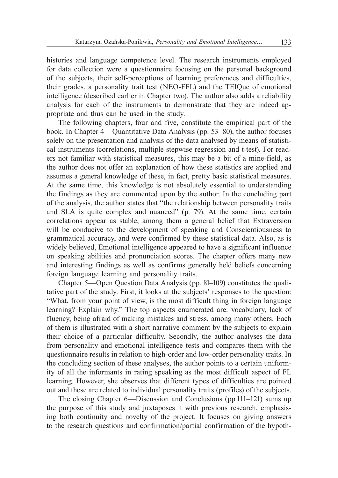histories and language competence level. The research instruments employed for data collection were a questionnaire focusing on the personal background of the subjects, their self-perceptions of learning preferences and difficulties, their grades, a personality trait test (NEO-FFL) and the TEIQue of emotional intelligence (described earlier in Chapter two). The author also adds a reliability analysis for each of the instruments to demonstrate that they are indeed appropriate and thus can be used in the study.

The following chapters, four and five, constitute the empirical part of the book. In Chapter 4—Quantitative Data Analysis (pp. 53–80), the author focuses solely on the presentation and analysis of the data analysed by means of statistical instruments (correlations, multiple stepwise regression and t-test). For readers not familiar with statistical measures, this may be a bit of a mine-field, as the author does not offer an explanation of how these statistics are applied and assumes a general knowledge of these, in fact, pretty basic statistical measures. At the same time, this knowledge is not absolutely essential to understanding the findings as they are commented upon by the author. In the concluding part of the analysis, the author states that "the relationship between personality traits and SLA is quite complex and nuanced" (p. 79). At the same time, certain correlations appear as stable, among them a general belief that Extraversion will be conducive to the development of speaking and Conscientiousness to grammatical accuracy, and were confirmed by these statistical data. Also, as is widely believed, Emotional intelligence appeared to have a significant influence on speaking abilities and pronunciation scores. The chapter offers many new and interesting findings as well as confirms generally held beliefs concerning foreign language learning and personality traits.

Chapter 5—Open Question Data Analysis (pp. 81–109) constitutes the qualitative part of the study. First, it looks at the subjects' responses to the question: "What, from your point of view, is the most difficult thing in foreign language learning? Explain why." The top aspects enumerated are: vocabulary, lack of fluency, being afraid of making mistakes and stress, among many others. Each of them is illustrated with a short narrative comment by the subjects to explain their choice of a particular difficulty. Secondly, the author analyses the data from personality and emotional intelligence tests and compares them with the questionnaire results in relation to high-order and low-order personality traits. In the concluding section of these analyses, the author points to a certain uniformity of all the informants in rating speaking as the most difficult aspect of FL learning. However, she observes that different types of difficulties are pointed out and these are related to individual personality traits (profiles) of the subjects.

The closing Chapter 6—Discussion and Conclusions (pp.111–121) sums up the purpose of this study and juxtaposes it with previous research, emphasising both continuity and novelty of the project. It focuses on giving answers to the research questions and confirmation/partial confirmation of the hypoth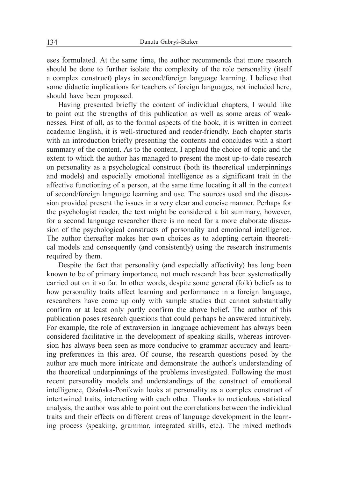eses formulated. At the same time, the author recommends that more research should be done to further isolate the complexity of the role personality (itself a complex construct) plays in second/foreign language learning. I believe that some didactic implications for teachers of foreign languages, not included here, should have been proposed.

Having presented briefly the content of individual chapters, I would like to point out the strengths of this publication as well as some areas of weaknesses. First of all, as to the formal aspects of the book, it is written in correct academic English, it is well-structured and reader-friendly. Each chapter starts with an introduction briefly presenting the contents and concludes with a short summary of the content. As to the content, I applaud the choice of topic and the extent to which the author has managed to present the most up-to-date research on personality as a psychological construct (both its theoretical underpinnings and models) and especially emotional intelligence as a significant trait in the affective functioning of a person, at the same time locating it all in the context of second/foreign language learning and use. The sources used and the discussion provided present the issues in a very clear and concise manner. Perhaps for the psychologist reader, the text might be considered a bit summary, however, for a second language researcher there is no need for a more elaborate discussion of the psychological constructs of personality and emotional intelligence. The author thereafter makes her own choices as to adopting certain theoretical models and consequently (and consistently) using the research instruments required by them.

Despite the fact that personality (and especially affectivity) has long been known to be of primary importance, not much research has been systematically carried out on it so far. In other words, despite some general (folk) beliefs as to how personality traits affect learning and performance in a foreign language, researchers have come up only with sample studies that cannot substantially confirm or at least only partly confirm the above belief. The author of this publication poses research questions that could perhaps be answered intuitively. For example, the role of extraversion in language achievement has always been considered facilitative in the development of speaking skills, whereas introversion has always been seen as more conducive to grammar accuracy and learning preferences in this area. Of course, the research questions posed by the author are much more intricate and demonstrate the author's understanding of the theoretical underpinnings of the problems investigated. Following the most recent personality models and understandings of the construct of emotional intelligence, Ożańska-Ponikwia looks at personality as a complex construct of intertwined traits, interacting with each other. Thanks to meticulous statistical analysis, the author was able to point out the correlations between the individual traits and their effects on different areas of language development in the learning process (speaking, grammar, integrated skills, etc.). The mixed methods